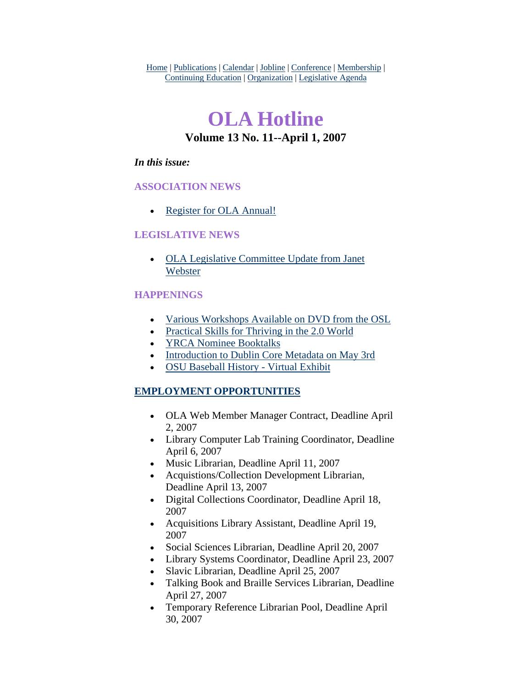Home | Publications | Calendar | Jobline | Conference | Membership | Continuing Education | Organization | Legislative Agenda

# **OLA Hotline Volume 13 No. 11--April 1, 2007**

## *In this issue:*

## **ASSOCIATION NEWS**

• [Register for OLA Annual!](#page-1-0)

## **LEGISLATIVE NEWS**

• [OLA Legislative Committee Update from Janet](#page-1-0)  [Webster](#page-1-0)

## **HAPPENINGS**

- [Various Workshops Available on DVD from the OSL](#page-2-0)
- [Practical Skills for Thriving in the 2.0 World](#page-5-0)
- **[YRCA Nominee Booktalks](#page-7-0)**
- [Introduction to Dublin Core Metadata on May 3rd](#page-7-0)
- [OSU Baseball History Virtual Exhibit](#page-8-0)

## **EMPLOYMENT OPPORTUNITIES**

- OLA Web Member Manager Contract, Deadline April 2, 2007
- Library Computer Lab Training Coordinator, Deadline April 6, 2007
- Music Librarian, Deadline April 11, 2007
- Acquistions/Collection Development Librarian, Deadline April 13, 2007
- Digital Collections Coordinator, Deadline April 18, 2007
- Acquisitions Library Assistant, Deadline April 19, 2007
- Social Sciences Librarian, Deadline April 20, 2007
- Library Systems Coordinator, Deadline April 23, 2007
- Slavic Librarian, Deadline April 25, 2007
- Talking Book and Braille Services Librarian, Deadline April 27, 2007
- Temporary Reference Librarian Pool, Deadline April 30, 2007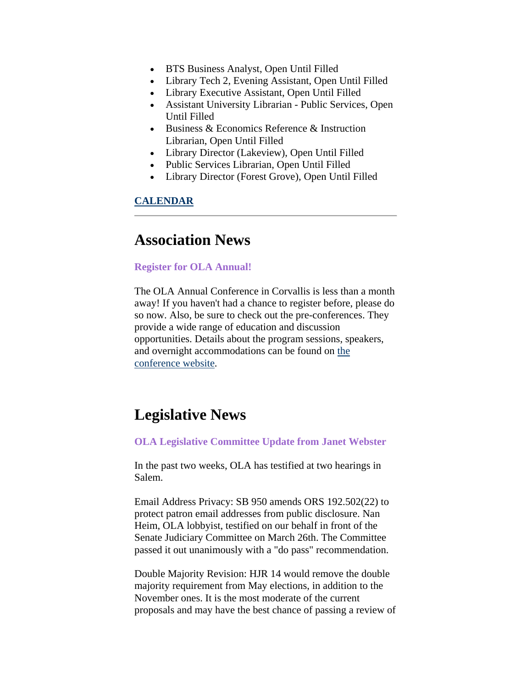- <span id="page-1-0"></span>• BTS Business Analyst, Open Until Filled
- Library Tech 2, Evening Assistant, Open Until Filled
- Library Executive Assistant, Open Until Filled
- Assistant University Librarian Public Services, Open Until Filled
- Business & Economics Reference & Instruction Librarian, Open Until Filled
- Library Director (Lakeview), Open Until Filled
- Public Services Librarian, Open Until Filled
- Library Director (Forest Grove), Open Until Filled

### **CALENDAR**

## **Association News**

#### **Register for OLA Annual!**

The OLA Annual Conference in Corvallis is less than a month away! If you haven't had a chance to register before, please do so now. Also, be sure to check out the pre-conferences. They provide a wide range of education and discussion opportunities. Details about the program sessions, speakers, and overnight accommodations can be found on [the](http://www.olaweb.org/conference/)  [conference website](http://www.olaweb.org/conference/).

## **Legislative News**

#### **OLA Legislative Committee Update from Janet Webster**

In the past two weeks, OLA has testified at two hearings in Salem.

Email Address Privacy: SB 950 amends ORS 192.502(22) to protect patron email addresses from public disclosure. Nan Heim, OLA lobbyist, testified on our behalf in front of the Senate Judiciary Committee on March 26th. The Committee passed it out unanimously with a "do pass" recommendation.

Double Majority Revision: HJR 14 would remove the double majority requirement from May elections, in addition to the November ones. It is the most moderate of the current proposals and may have the best chance of passing a review of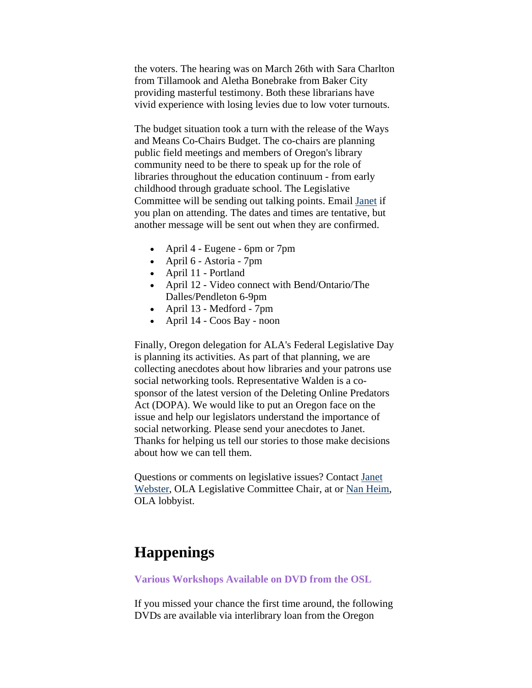<span id="page-2-0"></span>the voters. The hearing was on March 26th with Sara Charlton from Tillamook and Aletha Bonebrake from Baker City providing masterful testimony. Both these librarians have vivid experience with losing levies due to low voter turnouts.

The budget situation took a turn with the release of the Ways and Means Co-Chairs Budget. The co-chairs are planning public field meetings and members of Oregon's library community need to be there to speak up for the role of libraries throughout the education continuum - from early childhood through graduate school. The Legislative Committee will be sending out talking points. Email [Janet](mailto:janet.webster@oregonstate.edu) if you plan on attending. The dates and times are tentative, but another message will be sent out when they are confirmed.

- April 4 Eugene 6pm or 7pm
- April 6 Astoria 7pm
- April 11 Portland
- April 12 Video connect with Bend/Ontario/The Dalles/Pendleton 6-9pm
- April 13 Medford 7pm
- April 14 Coos Bay noon

Finally, Oregon delegation for ALA's Federal Legislative Day is planning its activities. As part of that planning, we are collecting anecdotes about how libraries and your patrons use social networking tools. Representative Walden is a cosponsor of the latest version of the Deleting Online Predators Act (DOPA). We would like to put an Oregon face on the issue and help our legislators understand the importance of social networking. Please send your anecdotes to Janet. Thanks for helping us tell our stories to those make decisions about how we can tell them.

Questions or comments on legislative issues? Contact [Janet](mailto:janet.webster@oregonstate.edu)  [Webster,](mailto:janet.webster@oregonstate.edu) OLA Legislative Committee Chair, at or [Nan Heim](mailto:nanheim@nanheim.com), OLA lobbyist.

# **Happenings**

#### **Various Workshops Available on DVD from the OSL**

If you missed your chance the first time around, the following DVDs are available via interlibrary loan from the Oregon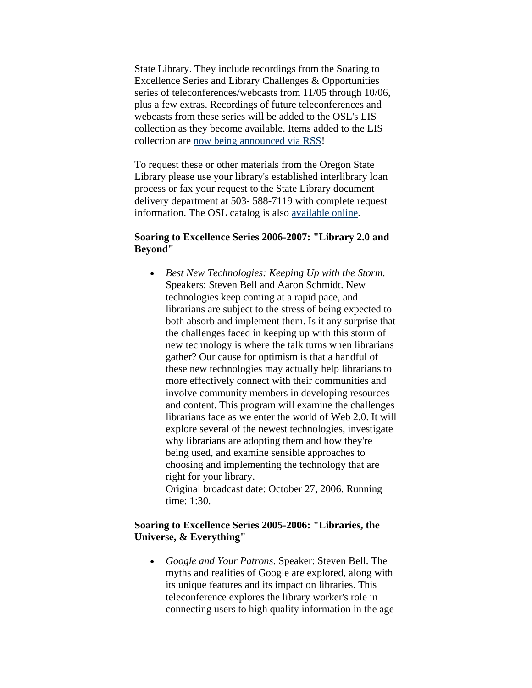State Library. They include recordings from the Soaring to Excellence Series and Library Challenges & Opportunities series of teleconferences/webcasts from 11/05 through 10/06, plus a few extras. Recordings of future teleconferences and webcasts from these series will be added to the OSL's LIS collection as they become available. Items added to the LIS collection are [now being announced via RSS](http://osl-lis.blogspot.com/)!

To request these or other materials from the Oregon State Library please use your library's established interlibrary loan process or fax your request to the State Library document delivery department at 503- 588-7119 with complete request information. The OSL catalog is also [available online](http://catalog.osl.state.or.us/).

#### **Soaring to Excellence Series 2006-2007: "Library 2.0 and Beyond"**

• *Best New Technologies: Keeping Up with the Storm*. Speakers: Steven Bell and Aaron Schmidt. New technologies keep coming at a rapid pace, and librarians are subject to the stress of being expected to both absorb and implement them. Is it any surprise that the challenges faced in keeping up with this storm of new technology is where the talk turns when librarians gather? Our cause for optimism is that a handful of these new technologies may actually help librarians to more effectively connect with their communities and involve community members in developing resources and content. This program will examine the challenges librarians face as we enter the world of Web 2.0. It will explore several of the newest technologies, investigate why librarians are adopting them and how they're being used, and examine sensible approaches to choosing and implementing the technology that are right for your library.

Original broadcast date: October 27, 2006. Running time: 1:30.

### **Soaring to Excellence Series 2005-2006: "Libraries, the Universe, & Everything"**

• *Google and Your Patrons*. Speaker: Steven Bell. The myths and realities of Google are explored, along with its unique features and its impact on libraries. This teleconference explores the library worker's role in connecting users to high quality information in the age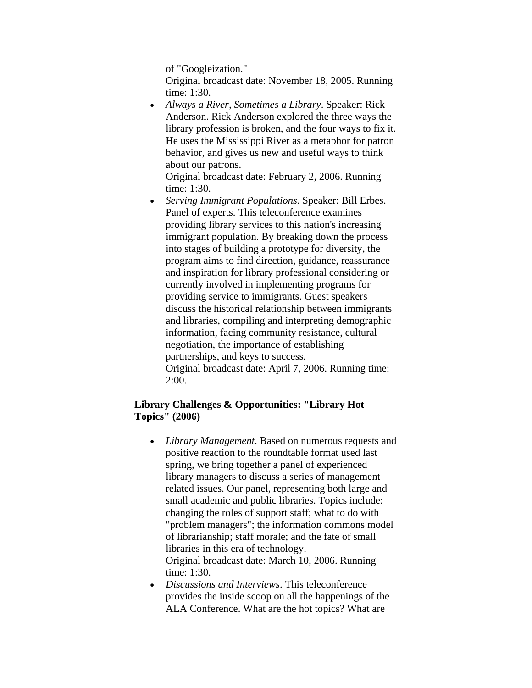of "Googleization."

Original broadcast date: November 18, 2005. Running time: 1:30.

• *Always a River, Sometimes a Library*. Speaker: Rick Anderson. Rick Anderson explored the three ways the library profession is broken, and the four ways to fix it. He uses the Mississippi River as a metaphor for patron behavior, and gives us new and useful ways to think about our patrons.

Original broadcast date: February 2, 2006. Running time: 1:30.

• *Serving Immigrant Populations*. Speaker: Bill Erbes. Panel of experts. This teleconference examines providing library services to this nation's increasing immigrant population. By breaking down the process into stages of building a prototype for diversity, the program aims to find direction, guidance, reassurance and inspiration for library professional considering or currently involved in implementing programs for providing service to immigrants. Guest speakers discuss the historical relationship between immigrants and libraries, compiling and interpreting demographic information, facing community resistance, cultural negotiation, the importance of establishing partnerships, and keys to success. Original broadcast date: April 7, 2006. Running time: 2:00.

## **Library Challenges & Opportunities: "Library Hot Topics" (2006)**

- *Library Management*. Based on numerous requests and positive reaction to the roundtable format used last spring, we bring together a panel of experienced library managers to discuss a series of management related issues. Our panel, representing both large and small academic and public libraries. Topics include: changing the roles of support staff; what to do with "problem managers"; the information commons model of librarianship; staff morale; and the fate of small libraries in this era of technology. Original broadcast date: March 10, 2006. Running time: 1:30.
- *Discussions and Interviews*. This teleconference provides the inside scoop on all the happenings of the ALA Conference. What are the hot topics? What are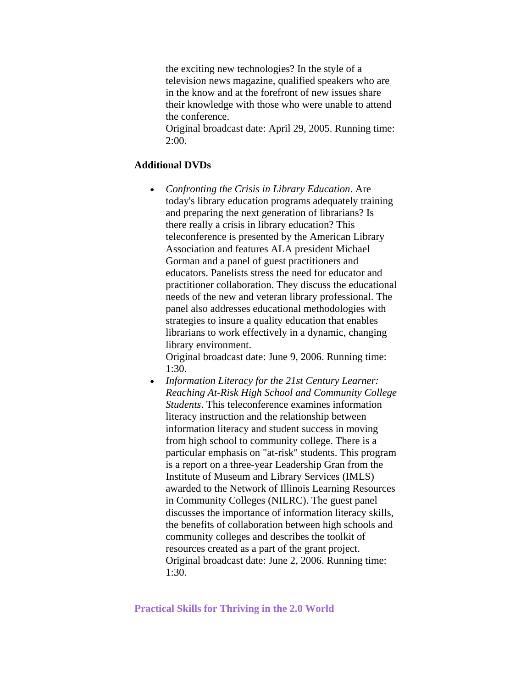<span id="page-5-0"></span>the exciting new technologies? In the style of a television news magazine, qualified speakers who are in the know and at the forefront of new issues share their knowledge with those who were unable to attend the conference.

Original broadcast date: April 29, 2005. Running time: 2:00.

#### **Additional DVDs**

• *Confronting the Crisis in Library Education*. Are today's library education programs adequately training and preparing the next generation of librarians? Is there really a crisis in library education? This teleconference is presented by the American Library Association and features ALA president Michael Gorman and a panel of guest practitioners and educators. Panelists stress the need for educator and practitioner collaboration. They discuss the educational needs of the new and veteran library professional. The panel also addresses educational methodologies with strategies to insure a quality education that enables librarians to work effectively in a dynamic, changing library environment.

Original broadcast date: June 9, 2006. Running time: 1:30.

• *Information Literacy for the 21st Century Learner: Reaching At-Risk High School and Community College Students*. This teleconference examines information literacy instruction and the relationship between information literacy and student success in moving from high school to community college. There is a particular emphasis on "at-risk" students. This program is a report on a three-year Leadership Gran from the Institute of Museum and Library Services (IMLS) awarded to the Network of Illinois Learning Resources in Community Colleges (NILRC). The guest panel discusses the importance of information literacy skills, the benefits of collaboration between high schools and community colleges and describes the toolkit of resources created as a part of the grant project. Original broadcast date: June 2, 2006. Running time: 1:30.

#### **Practical Skills for Thriving in the 2.0 World**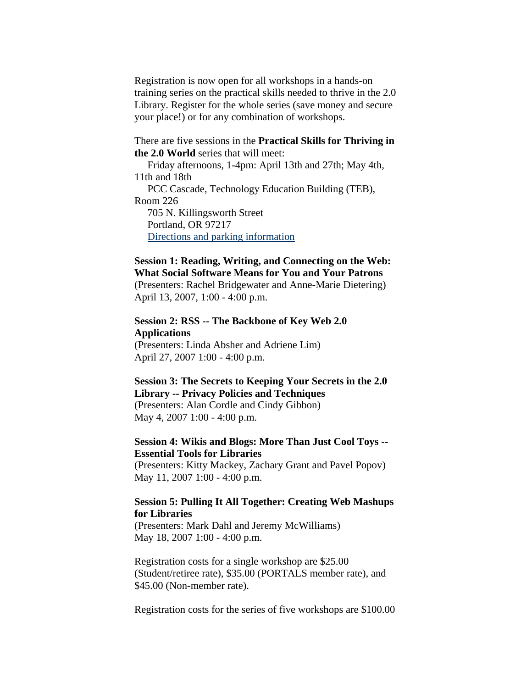Registration is now open for all workshops in a hands-on training series on the practical skills needed to thrive in the 2.0 Library. Register for the whole series (save money and secure your place!) or for any combination of workshops.

#### There are five sessions in the **Practical Skills for Thriving in the 2.0 World** series that will meet:

 Friday afternoons, 1-4pm: April 13th and 27th; May 4th, 11th and 18th PCC Cascade, Technology Education Building (TEB), Room 226 705 N. Killingsworth Street Portland, OR 97217 [Directions and parking information](http://www.pcc.edu/about/locations/cascade/)

## **Session 1: Reading, Writing, and Connecting on the Web: What Social Software Means for You and Your Patrons**

(Presenters: Rachel Bridgewater and Anne-Marie Dietering) April 13, 2007, 1:00 - 4:00 p.m.

#### **Session 2: RSS -- The Backbone of Key Web 2.0 Applications**

(Presenters: Linda Absher and Adriene Lim) April 27, 2007 1:00 - 4:00 p.m.

## **Session 3: The Secrets to Keeping Your Secrets in the 2.0 Library -- Privacy Policies and Techniques**

(Presenters: Alan Cordle and Cindy Gibbon) May 4, 2007 1:00 - 4:00 p.m.

### **Session 4: Wikis and Blogs: More Than Just Cool Toys -- Essential Tools for Libraries**

(Presenters: Kitty Mackey, Zachary Grant and Pavel Popov) May 11, 2007 1:00 - 4:00 p.m.

### **Session 5: Pulling It All Together: Creating Web Mashups for Libraries**

(Presenters: Mark Dahl and Jeremy McWilliams) May 18, 2007 1:00 - 4:00 p.m.

Registration costs for a single workshop are \$25.00 (Student/retiree rate), \$35.00 (PORTALS member rate), and \$45.00 (Non-member rate).

Registration costs for the series of five workshops are \$100.00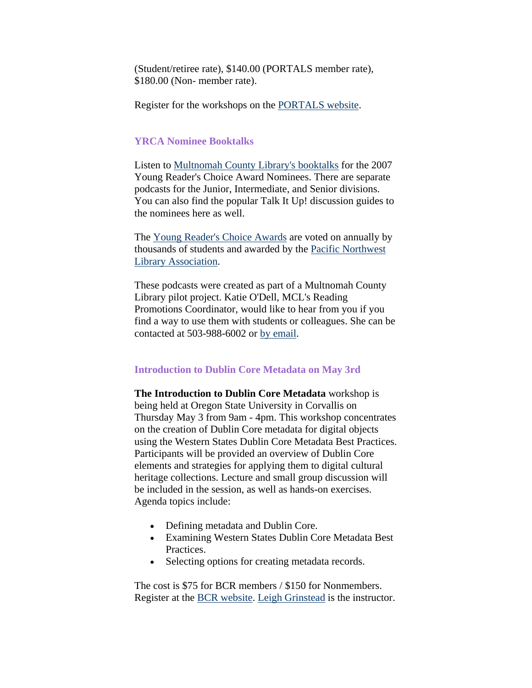<span id="page-7-0"></span>(Student/retiree rate), \$140.00 (PORTALS member rate), \$180.00 (Non- member rate).

Register for the workshops on the [PORTALS website](http://www.portals.org/).

#### **YRCA Nominee Booktalks**

Listen to [Multnomah County Library's booktalks](http://www.multcolib.org/talk/yrca.html) for the 2007 Young Reader's Choice Award Nominees. There are separate podcasts for the Junior, Intermediate, and Senior divisions. You can also find the popular Talk It Up! discussion guides to the nominees here as well.

The [Young Reader's Choice Awards](http://www.pnla.org/yrca/index.htm) are voted on annually by thousands of students and awarded by the [Pacific Northwest](http://www.pnla.org/)  [Library Association.](http://www.pnla.org/)

These podcasts were created as part of a Multnomah County Library pilot project. Katie O'Dell, MCL's Reading Promotions Coordinator, would like to hear from you if you find a way to use them with students or colleagues. She can be contacted at 503-988-6002 or [by email](mailto:kodell@multcolib.org).

#### **Introduction to Dublin Core Metadata on May 3rd**

**The Introduction to Dublin Core Metadata** workshop is being held at Oregon State University in Corvallis on Thursday May 3 from 9am - 4pm. This workshop concentrates on the creation of Dublin Core metadata for digital objects using the Western States Dublin Core Metadata Best Practices. Participants will be provided an overview of Dublin Core elements and strategies for applying them to digital cultural heritage collections. Lecture and small group discussion will be included in the session, as well as hands-on exercises. Agenda topics include:

- Defining metadata and Dublin Core.
- Examining Western States Dublin Core Metadata Best Practices.
- Selecting options for creating metadata records.

The cost is \$75 for BCR members / \$150 for Nonmembers. Register at the [BCR website.](http://www.bcr.org/training/workshops/register.html) [Leigh Grinstead](http://www.bcr.org/training/workshops/trainers.html#grinstead) is the instructor.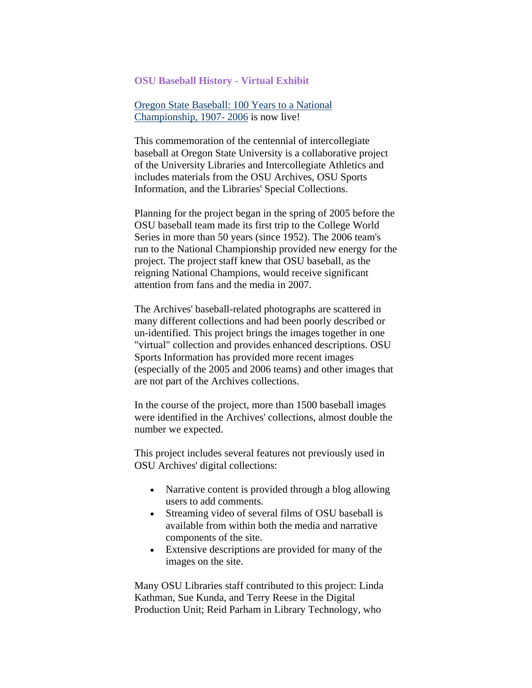#### <span id="page-8-0"></span>**OSU Baseball History - Virtual Exhibit**

[Oregon State Baseball: 100 Years to a National](http://osulibrary.oregonstate.edu/digitalcollections/baseball/)  [Championship, 1907- 2006](http://osulibrary.oregonstate.edu/digitalcollections/baseball/) is now live!

This commemoration of the centennial of intercollegiate baseball at Oregon State University is a collaborative project of the University Libraries and Intercollegiate Athletics and includes materials from the OSU Archives, OSU Sports Information, and the Libraries' Special Collections.

Planning for the project began in the spring of 2005 before the OSU baseball team made its first trip to the College World Series in more than 50 years (since 1952). The 2006 team's run to the National Championship provided new energy for the project. The project staff knew that OSU baseball, as the reigning National Champions, would receive significant attention from fans and the media in 2007.

The Archives' baseball-related photographs are scattered in many different collections and had been poorly described or un-identified. This project brings the images together in one "virtual" collection and provides enhanced descriptions. OSU Sports Information has provided more recent images (especially of the 2005 and 2006 teams) and other images that are not part of the Archives collections.

In the course of the project, more than 1500 baseball images were identified in the Archives' collections, almost double the number we expected.

This project includes several features not previously used in OSU Archives' digital collections:

- Narrative content is provided through a blog allowing users to add comments.
- Streaming video of several films of OSU baseball is available from within both the media and narrative components of the site.
- Extensive descriptions are provided for many of the images on the site.

Many OSU Libraries staff contributed to this project: Linda Kathman, Sue Kunda, and Terry Reese in the Digital Production Unit; Reid Parham in Library Technology, who